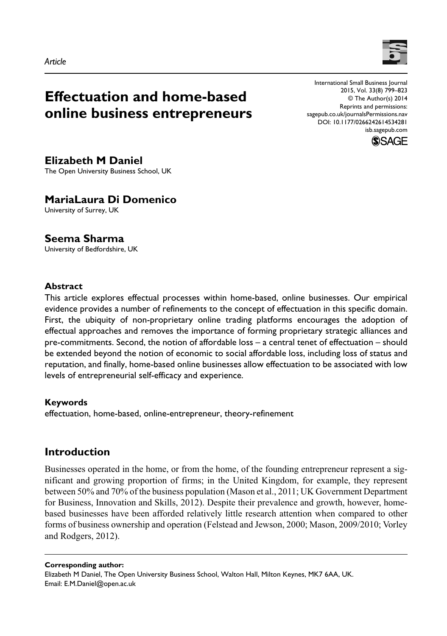

# **Effectuation and home-based online business entrepreneurs**

International Small Business Journal 2015, Vol. 33(8) 799–823 © The Author(s) 2014 Reprints and permissions: sagepub.co.uk/journalsPermissions.nav DOI: 10.1177/0266242614534281 isb.sagepub.com



### **Elizabeth M Daniel**

The Open University Business School, UK

### **MariaLaura Di Domenico**

University of Surrey, UK

### **Seema Sharma**

University of Bedfordshire, UK

### **Abstract**

This article explores effectual processes within home-based, online businesses. Our empirical evidence provides a number of refinements to the concept of effectuation in this specific domain. First, the ubiquity of non-proprietary online trading platforms encourages the adoption of effectual approaches and removes the importance of forming proprietary strategic alliances and pre-commitments. Second, the notion of affordable loss – a central tenet of effectuation – should be extended beyond the notion of economic to social affordable loss, including loss of status and reputation, and finally, home-based online businesses allow effectuation to be associated with low levels of entrepreneurial self-efficacy and experience.

### **Keywords**

effectuation, home-based, online-entrepreneur, theory-refinement

### **Introduction**

Businesses operated in the home, or from the home, of the founding entrepreneur represent a significant and growing proportion of firms; in the United Kingdom, for example, they represent between 50% and 70% of the business population (Mason et al., 2011; UK Government Department for Business, Innovation and Skills, 2012). Despite their prevalence and growth, however, homebased businesses have been afforded relatively little research attention when compared to other forms of business ownership and operation (Felstead and Jewson, 2000; Mason, 2009/2010; Vorley and Rodgers, 2012).

#### **Corresponding author:**

Elizabeth M Daniel, The Open University Business School, Walton Hall, Milton Keynes, MK7 6AA, UK. Email: [E.M.Daniel@open.ac.uk](mailto:E.M.Daniel@open.ac.uk)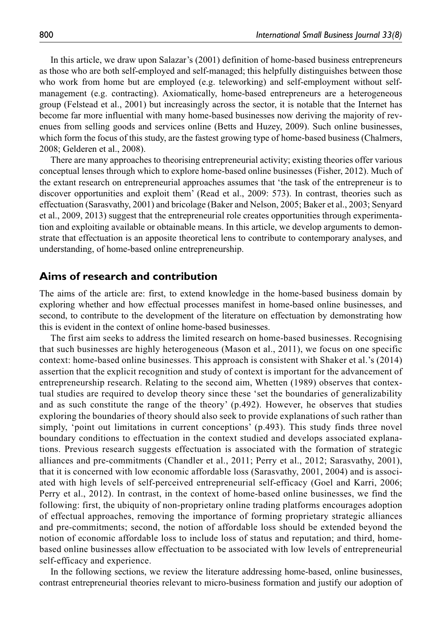In this article, we draw upon Salazar's (2001) definition of home-based business entrepreneurs as those who are both self-employed and self-managed; this helpfully distinguishes between those who work from home but are employed (e.g. teleworking) and self-employment without selfmanagement (e.g. contracting). Axiomatically, home-based entrepreneurs are a heterogeneous group (Felstead et al., 2001) but increasingly across the sector, it is notable that the Internet has become far more influential with many home-based businesses now deriving the majority of revenues from selling goods and services online (Betts and Huzey, 2009). Such online businesses, which form the focus of this study, are the fastest growing type of home-based business (Chalmers, 2008; Gelderen et al., 2008).

There are many approaches to theorising entrepreneurial activity; existing theories offer various conceptual lenses through which to explore home-based online businesses (Fisher, 2012). Much of the extant research on entrepreneurial approaches assumes that 'the task of the entrepreneur is to discover opportunities and exploit them' (Read et al., 2009: 573). In contrast, theories such as effectuation (Sarasvathy, 2001) and bricolage (Baker and Nelson, 2005; Baker et al., 2003; Senyard et al., 2009, 2013) suggest that the entrepreneurial role creates opportunities through experimentation and exploiting available or obtainable means. In this article, we develop arguments to demonstrate that effectuation is an apposite theoretical lens to contribute to contemporary analyses, and understanding, of home-based online entrepreneurship.

### **Aims of research and contribution**

The aims of the article are: first, to extend knowledge in the home-based business domain by exploring whether and how effectual processes manifest in home-based online businesses, and second, to contribute to the development of the literature on effectuation by demonstrating how this is evident in the context of online home-based businesses.

The first aim seeks to address the limited research on home-based businesses. Recognising that such businesses are highly heterogeneous (Mason et al., 2011), we focus on one specific context: home-based online businesses. This approach is consistent with Shaker et al.'s (2014) assertion that the explicit recognition and study of context is important for the advancement of entrepreneurship research. Relating to the second aim, Whetten (1989) observes that contextual studies are required to develop theory since these 'set the boundaries of generalizability and as such constitute the range of the theory' (p.492). However, he observes that studies exploring the boundaries of theory should also seek to provide explanations of such rather than simply, 'point out limitations in current conceptions' (p.493). This study finds three novel boundary conditions to effectuation in the context studied and develops associated explanations. Previous research suggests effectuation is associated with the formation of strategic alliances and pre-commitments (Chandler et al., 2011; Perry et al., 2012; Sarasvathy, 2001), that it is concerned with low economic affordable loss (Sarasvathy, 2001, 2004) and is associated with high levels of self-perceived entrepreneurial self-efficacy (Goel and Karri, 2006; Perry et al., 2012). In contrast, in the context of home-based online businesses, we find the following: first, the ubiquity of non-proprietary online trading platforms encourages adoption of effectual approaches, removing the importance of forming proprietary strategic alliances and pre-commitments; second, the notion of affordable loss should be extended beyond the notion of economic affordable loss to include loss of status and reputation; and third, homebased online businesses allow effectuation to be associated with low levels of entrepreneurial self-efficacy and experience.

In the following sections, we review the literature addressing home-based, online businesses, contrast entrepreneurial theories relevant to micro-business formation and justify our adoption of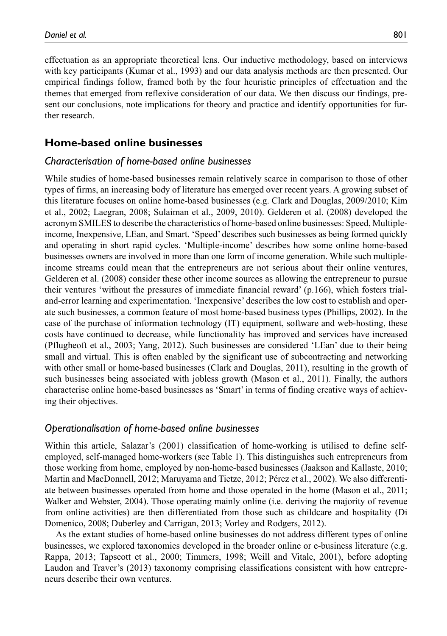effectuation as an appropriate theoretical lens. Our inductive methodology, based on interviews with key participants (Kumar et al., 1993) and our data analysis methods are then presented. Our empirical findings follow, framed both by the four heuristic principles of effectuation and the themes that emerged from reflexive consideration of our data. We then discuss our findings, present our conclusions, note implications for theory and practice and identify opportunities for further research.

### **Home-based online businesses**

### *Characterisation of home-based online businesses*

While studies of home-based businesses remain relatively scarce in comparison to those of other types of firms, an increasing body of literature has emerged over recent years. A growing subset of this literature focuses on online home-based businesses (e.g. Clark and Douglas, 2009/2010; Kim et al., 2002; Laegran, 2008; Sulaiman et al., 2009, 2010). Gelderen et al. (2008) developed the acronym SMILES to describe the characteristics of home-based online businesses: Speed, Multipleincome, Inexpensive, LEan, and Smart. 'Speed' describes such businesses as being formed quickly and operating in short rapid cycles. 'Multiple-income' describes how some online home-based businesses owners are involved in more than one form of income generation. While such multipleincome streams could mean that the entrepreneurs are not serious about their online ventures, Gelderen et al. (2008) consider these other income sources as allowing the entrepreneur to pursue their ventures 'without the pressures of immediate financial reward' (p.166), which fosters trialand-error learning and experimentation. 'Inexpensive' describes the low cost to establish and operate such businesses, a common feature of most home-based business types (Phillips, 2002). In the case of the purchase of information technology (IT) equipment, software and web-hosting, these costs have continued to decrease, while functionality has improved and services have increased (Pflugheoft et al., 2003; Yang, 2012). Such businesses are considered 'LEan' due to their being small and virtual. This is often enabled by the significant use of subcontracting and networking with other small or home-based businesses (Clark and Douglas, 2011), resulting in the growth of such businesses being associated with jobless growth (Mason et al., 2011). Finally, the authors characterise online home-based businesses as 'Smart' in terms of finding creative ways of achieving their objectives.

### *Operationalisation of home-based online businesses*

Within this article, Salazar's (2001) classification of home-working is utilised to define selfemployed, self-managed home-workers (see Table 1). This distinguishes such entrepreneurs from those working from home, employed by non-home-based businesses (Jaakson and Kallaste, 2010; Martin and MacDonnell, 2012; Maruyama and Tietze, 2012; Pérez et al., 2002). We also differentiate between businesses operated from home and those operated in the home (Mason et al., 2011; Walker and Webster, 2004). Those operating mainly online (i.e. deriving the majority of revenue from online activities) are then differentiated from those such as childcare and hospitality (Di Domenico, 2008; Duberley and Carrigan, 2013; Vorley and Rodgers, 2012).

As the extant studies of home-based online businesses do not address different types of online businesses, we explored taxonomies developed in the broader online or e-business literature (e.g. Rappa, 2013; Tapscott et al., 2000; Timmers, 1998; Weill and Vitale, 2001), before adopting Laudon and Traver's (2013) taxonomy comprising classifications consistent with how entrepreneurs describe their own ventures.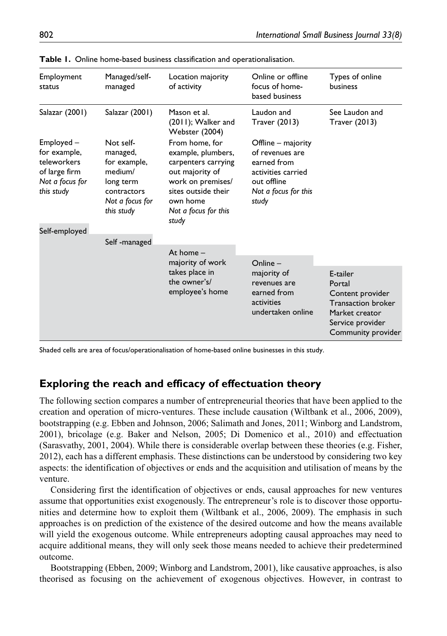| Employment<br>status                                                                                         | Managed/self-<br>managed                                                                                      | Location majority<br>of activity                                                                                                                                        | Online or offline<br>focus of home-<br>based business                                                                      | Types of online<br>business                                                                                                     |
|--------------------------------------------------------------------------------------------------------------|---------------------------------------------------------------------------------------------------------------|-------------------------------------------------------------------------------------------------------------------------------------------------------------------------|----------------------------------------------------------------------------------------------------------------------------|---------------------------------------------------------------------------------------------------------------------------------|
| Salazar (2001)                                                                                               | Salazar (2001)                                                                                                | Mason et al.<br>(2011); Walker and<br><b>Webster (2004)</b>                                                                                                             | Laudon and<br>Traver (2013)                                                                                                | See Laudon and<br>Traver (2013)                                                                                                 |
| Employed -<br>for example,<br>teleworkers<br>of large firm<br>Not a focus for<br>this study<br>Self-employed | Not self-<br>managed,<br>for example,<br>medium/<br>long term<br>contractors<br>Not a focus for<br>this study | From home, for<br>example, plumbers,<br>carpenters carrying<br>out majority of<br>work on premises/<br>sites outside their<br>own home<br>Not a focus for this<br>study | Offline – majority<br>of revenues are<br>earned from<br>activities carried<br>out offline<br>Not a focus for this<br>study |                                                                                                                                 |
|                                                                                                              | Self-managed                                                                                                  | At home $-$                                                                                                                                                             |                                                                                                                            |                                                                                                                                 |
|                                                                                                              |                                                                                                               | majority of work<br>takes place in<br>the owner's/<br>employee's home                                                                                                   | Online-<br>majority of<br>revenues are<br>earned from<br>activities<br>undertaken online                                   | E-tailer<br>Portal<br>Content provider<br><b>Transaction broker</b><br>Market creator<br>Service provider<br>Community provider |

**Table 1.** Online home-based business classification and operationalisation.

Shaded cells are area of focus/operationalisation of home-based online businesses in this study.

### **Exploring the reach and efficacy of effectuation theory**

The following section compares a number of entrepreneurial theories that have been applied to the creation and operation of micro-ventures. These include causation (Wiltbank et al., 2006, 2009), bootstrapping (e.g. Ebben and Johnson, 2006; Salimath and Jones, 2011; Winborg and Landstrom, 2001), bricolage (e.g. Baker and Nelson, 2005; Di Domenico et al., 2010) and effectuation (Sarasvathy, 2001, 2004). While there is considerable overlap between these theories (e.g. Fisher, 2012), each has a different emphasis. These distinctions can be understood by considering two key aspects: the identification of objectives or ends and the acquisition and utilisation of means by the venture.

Considering first the identification of objectives or ends, causal approaches for new ventures assume that opportunities exist exogenously. The entrepreneur's role is to discover those opportunities and determine how to exploit them (Wiltbank et al., 2006, 2009). The emphasis in such approaches is on prediction of the existence of the desired outcome and how the means available will yield the exogenous outcome. While entrepreneurs adopting causal approaches may need to acquire additional means, they will only seek those means needed to achieve their predetermined outcome.

Bootstrapping (Ebben, 2009; Winborg and Landstrom, 2001), like causative approaches, is also theorised as focusing on the achievement of exogenous objectives. However, in contrast to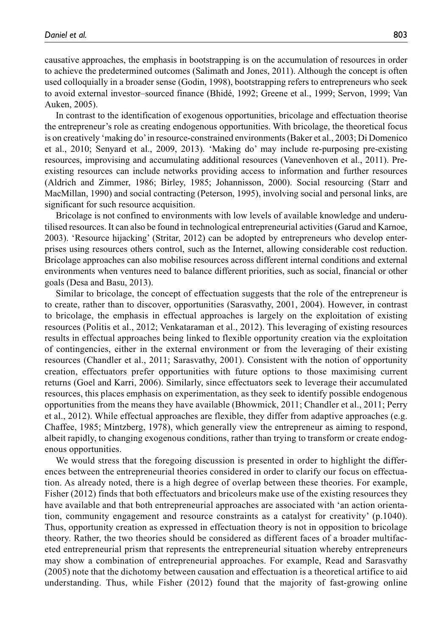causative approaches, the emphasis in bootstrapping is on the accumulation of resources in order to achieve the predetermined outcomes (Salimath and Jones, 2011). Although the concept is often used colloquially in a broader sense (Godin, 1998), bootstrapping refers to entrepreneurs who seek to avoid external investor–sourced finance (Bhidé, 1992; Greene et al., 1999; Servon, 1999; Van Auken, 2005).

In contrast to the identification of exogenous opportunities, bricolage and effectuation theorise the entrepreneur's role as creating endogenous opportunities. With bricolage, the theoretical focus is on creatively 'making do' in resource-constrained environments (Baker et al., 2003; Di Domenico et al., 2010; Senyard et al., 2009, 2013). 'Making do' may include re-purposing pre-existing resources, improvising and accumulating additional resources (Vanevenhoven et al., 2011). Preexisting resources can include networks providing access to information and further resources (Aldrich and Zimmer, 1986; Birley, 1985; Johannisson, 2000). Social resourcing (Starr and MacMillan, 1990) and social contracting (Peterson, 1995), involving social and personal links, are significant for such resource acquisition.

Bricolage is not confined to environments with low levels of available knowledge and underutilised resources. It can also be found in technological entrepreneurial activities (Garud and Karnoe, 2003). 'Resource hijacking' (Stritar, 2012) can be adopted by entrepreneurs who develop enterprises using resources others control, such as the Internet, allowing considerable cost reduction. Bricolage approaches can also mobilise resources across different internal conditions and external environments when ventures need to balance different priorities, such as social, financial or other goals (Desa and Basu, 2013).

Similar to bricolage, the concept of effectuation suggests that the role of the entrepreneur is to create, rather than to discover, opportunities (Sarasvathy, 2001, 2004). However, in contrast to bricolage, the emphasis in effectual approaches is largely on the exploitation of existing resources (Politis et al., 2012; Venkataraman et al., 2012). This leveraging of existing resources results in effectual approaches being linked to flexible opportunity creation via the exploitation of contingencies, either in the external environment or from the leveraging of their existing resources (Chandler et al., 2011; Sarasvathy, 2001). Consistent with the notion of opportunity creation, effectuators prefer opportunities with future options to those maximising current returns (Goel and Karri, 2006). Similarly, since effectuators seek to leverage their accumulated resources, this places emphasis on experimentation, as they seek to identify possible endogenous opportunities from the means they have available (Bhowmick, 2011; Chandler et al., 2011; Perry et al., 2012). While effectual approaches are flexible, they differ from adaptive approaches (e.g. Chaffee, 1985; Mintzberg, 1978), which generally view the entrepreneur as aiming to respond, albeit rapidly, to changing exogenous conditions, rather than trying to transform or create endogenous opportunities.

We would stress that the foregoing discussion is presented in order to highlight the differences between the entrepreneurial theories considered in order to clarify our focus on effectuation. As already noted, there is a high degree of overlap between these theories. For example, Fisher (2012) finds that both effectuators and bricoleurs make use of the existing resources they have available and that both entrepreneurial approaches are associated with 'an action orientation, community engagement and resource constraints as a catalyst for creativity' (p.1040). Thus, opportunity creation as expressed in effectuation theory is not in opposition to bricolage theory. Rather, the two theories should be considered as different faces of a broader multifaceted entrepreneurial prism that represents the entrepreneurial situation whereby entrepreneurs may show a combination of entrepreneurial approaches. For example, Read and Sarasvathy (2005) note that the dichotomy between causation and effectuation is a theoretical artifice to aid understanding. Thus, while Fisher (2012) found that the majority of fast-growing online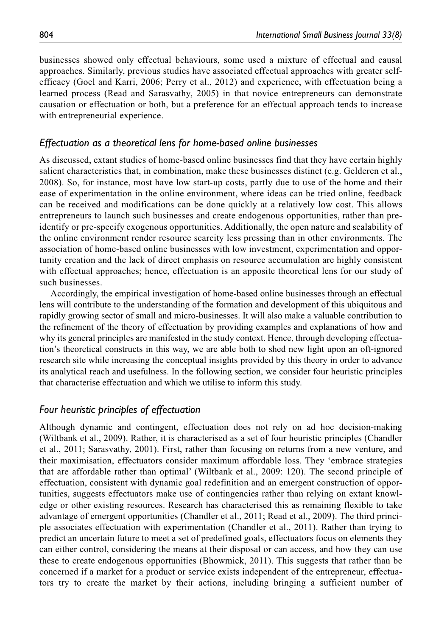businesses showed only effectual behaviours, some used a mixture of effectual and causal approaches. Similarly, previous studies have associated effectual approaches with greater selfefficacy (Goel and Karri, 2006; Perry et al., 2012) and experience, with effectuation being a learned process (Read and Sarasvathy, 2005) in that novice entrepreneurs can demonstrate causation or effectuation or both, but a preference for an effectual approach tends to increase with entrepreneurial experience.

#### *Effectuation as a theoretical lens for home-based online businesses*

As discussed, extant studies of home-based online businesses find that they have certain highly salient characteristics that, in combination, make these businesses distinct (e.g. Gelderen et al., 2008). So, for instance, most have low start-up costs, partly due to use of the home and their ease of experimentation in the online environment, where ideas can be tried online, feedback can be received and modifications can be done quickly at a relatively low cost. This allows entrepreneurs to launch such businesses and create endogenous opportunities, rather than preidentify or pre-specify exogenous opportunities. Additionally, the open nature and scalability of the online environment render resource scarcity less pressing than in other environments. The association of home-based online businesses with low investment, experimentation and opportunity creation and the lack of direct emphasis on resource accumulation are highly consistent with effectual approaches; hence, effectuation is an apposite theoretical lens for our study of such businesses.

Accordingly, the empirical investigation of home-based online businesses through an effectual lens will contribute to the understanding of the formation and development of this ubiquitous and rapidly growing sector of small and micro-businesses. It will also make a valuable contribution to the refinement of the theory of effectuation by providing examples and explanations of how and why its general principles are manifested in the study context. Hence, through developing effectuation's theoretical constructs in this way, we are able both to shed new light upon an oft-ignored research site while increasing the conceptual insights provided by this theory in order to advance its analytical reach and usefulness. In the following section, we consider four heuristic principles that characterise effectuation and which we utilise to inform this study.

### *Four heuristic principles of effectuation*

Although dynamic and contingent, effectuation does not rely on ad hoc decision-making (Wiltbank et al., 2009). Rather, it is characterised as a set of four heuristic principles (Chandler et al., 2011; Sarasvathy, 2001). First, rather than focusing on returns from a new venture, and their maximisation, effectuators consider maximum affordable loss. They 'embrace strategies that are affordable rather than optimal' (Wiltbank et al., 2009: 120). The second principle of effectuation, consistent with dynamic goal redefinition and an emergent construction of opportunities, suggests effectuators make use of contingencies rather than relying on extant knowledge or other existing resources. Research has characterised this as remaining flexible to take advantage of emergent opportunities (Chandler et al., 2011; Read et al., 2009). The third principle associates effectuation with experimentation (Chandler et al., 2011). Rather than trying to predict an uncertain future to meet a set of predefined goals, effectuators focus on elements they can either control, considering the means at their disposal or can access, and how they can use these to create endogenous opportunities (Bhowmick, 2011). This suggests that rather than be concerned if a market for a product or service exists independent of the entrepreneur, effectuators try to create the market by their actions, including bringing a sufficient number of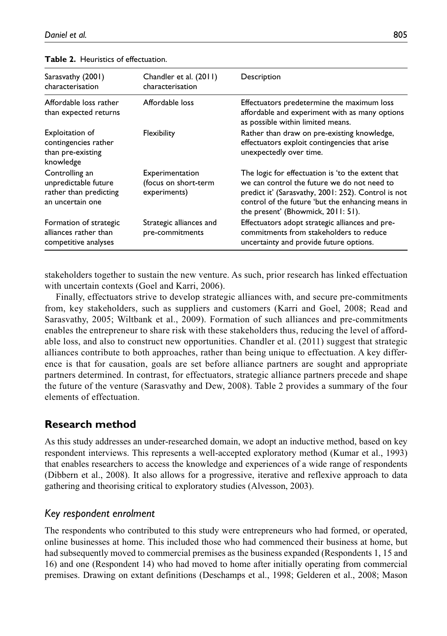| Sarasvathy (2001)<br>characterisation                                                | Chandler et al. (2011)<br>characterisation              | Description                                                                                                                                                                                                                                        |
|--------------------------------------------------------------------------------------|---------------------------------------------------------|----------------------------------------------------------------------------------------------------------------------------------------------------------------------------------------------------------------------------------------------------|
| Affordable loss rather<br>than expected returns                                      | Affordable loss                                         | Effectuators predetermine the maximum loss<br>affordable and experiment with as many options<br>as possible within limited means.                                                                                                                  |
| Exploitation of<br>contingencies rather<br>than pre-existing<br>knowledge            | Flexibility                                             | Rather than draw on pre-existing knowledge,<br>effectuators exploit contingencies that arise<br>unexpectedly over time.                                                                                                                            |
| Controlling an<br>unpredictable future<br>rather than predicting<br>an uncertain one | Experimentation<br>(focus on short-term<br>experiments) | The logic for effectuation is 'to the extent that<br>we can control the future we do not need to<br>predict it' (Sarasvathy, 2001: 252). Control is not<br>control of the future 'but the enhancing means in<br>the present' (Bhowmick, 2011: 51). |
| Formation of strategic<br>alliances rather than<br>competitive analyses              | Strategic alliances and<br>pre-commitments              | Effectuators adopt strategic alliances and pre-<br>commitments from stakeholders to reduce<br>uncertainty and provide future options.                                                                                                              |

**Table 2.** Heuristics of effectuation.

stakeholders together to sustain the new venture. As such, prior research has linked effectuation with uncertain contexts (Goel and Karri, 2006).

Finally, effectuators strive to develop strategic alliances with, and secure pre-commitments from, key stakeholders, such as suppliers and customers (Karri and Goel, 2008; Read and Sarasvathy, 2005; Wiltbank et al., 2009). Formation of such alliances and pre-commitments enables the entrepreneur to share risk with these stakeholders thus, reducing the level of affordable loss, and also to construct new opportunities. Chandler et al. (2011) suggest that strategic alliances contribute to both approaches, rather than being unique to effectuation. A key difference is that for causation, goals are set before alliance partners are sought and appropriate partners determined. In contrast, for effectuators, strategic alliance partners precede and shape the future of the venture (Sarasvathy and Dew, 2008). Table 2 provides a summary of the four elements of effectuation.

# **Research method**

As this study addresses an under-researched domain, we adopt an inductive method, based on key respondent interviews. This represents a well-accepted exploratory method (Kumar et al., 1993) that enables researchers to access the knowledge and experiences of a wide range of respondents (Dibbern et al., 2008). It also allows for a progressive, iterative and reflexive approach to data gathering and theorising critical to exploratory studies (Alvesson, 2003).

### *Key respondent enrolment*

The respondents who contributed to this study were entrepreneurs who had formed, or operated, online businesses at home. This included those who had commenced their business at home, but had subsequently moved to commercial premises as the business expanded (Respondents 1, 15 and 16) and one (Respondent 14) who had moved to home after initially operating from commercial premises. Drawing on extant definitions (Deschamps et al., 1998; Gelderen et al., 2008; Mason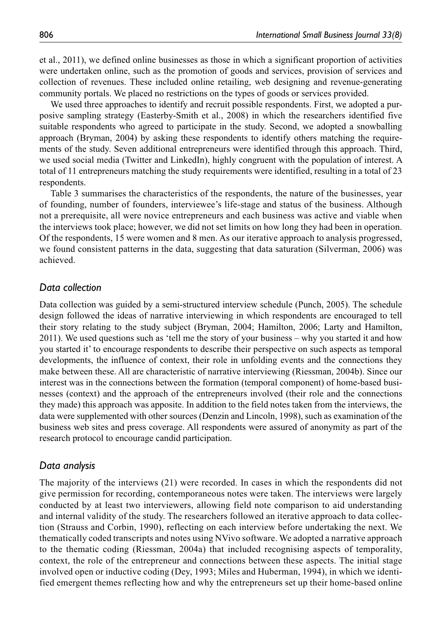et al., 2011), we defined online businesses as those in which a significant proportion of activities were undertaken online, such as the promotion of goods and services, provision of services and collection of revenues. These included online retailing, web designing and revenue-generating community portals. We placed no restrictions on the types of goods or services provided.

We used three approaches to identify and recruit possible respondents. First, we adopted a purposive sampling strategy (Easterby-Smith et al., 2008) in which the researchers identified five suitable respondents who agreed to participate in the study. Second, we adopted a snowballing approach (Bryman, 2004) by asking these respondents to identify others matching the requirements of the study. Seven additional entrepreneurs were identified through this approach. Third, we used social media (Twitter and LinkedIn), highly congruent with the population of interest. A total of 11 entrepreneurs matching the study requirements were identified, resulting in a total of 23 respondents.

Table 3 summarises the characteristics of the respondents, the nature of the businesses, year of founding, number of founders, interviewee's life-stage and status of the business. Although not a prerequisite, all were novice entrepreneurs and each business was active and viable when the interviews took place; however, we did not set limits on how long they had been in operation. Of the respondents, 15 were women and 8 men. As our iterative approach to analysis progressed, we found consistent patterns in the data, suggesting that data saturation (Silverman, 2006) was achieved.

### *Data collection*

Data collection was guided by a semi-structured interview schedule (Punch, 2005). The schedule design followed the ideas of narrative interviewing in which respondents are encouraged to tell their story relating to the study subject (Bryman, 2004; Hamilton, 2006; Larty and Hamilton, 2011). We used questions such as 'tell me the story of your business – why you started it and how you started it' to encourage respondents to describe their perspective on such aspects as temporal developments, the influence of context, their role in unfolding events and the connections they make between these. All are characteristic of narrative interviewing (Riessman, 2004b). Since our interest was in the connections between the formation (temporal component) of home-based businesses (context) and the approach of the entrepreneurs involved (their role and the connections they made) this approach was apposite. In addition to the field notes taken from the interviews, the data were supplemented with other sources (Denzin and Lincoln, 1998), such as examination of the business web sites and press coverage. All respondents were assured of anonymity as part of the research protocol to encourage candid participation.

### *Data analysis*

The majority of the interviews (21) were recorded. In cases in which the respondents did not give permission for recording, contemporaneous notes were taken. The interviews were largely conducted by at least two interviewers, allowing field note comparison to aid understanding and internal validity of the study. The researchers followed an iterative approach to data collection (Strauss and Corbin, 1990), reflecting on each interview before undertaking the next. We thematically coded transcripts and notes using NVivo software. We adopted a narrative approach to the thematic coding (Riessman, 2004a) that included recognising aspects of temporality, context, the role of the entrepreneur and connections between these aspects. The initial stage involved open or inductive coding (Dey, 1993; Miles and Huberman, 1994), in which we identified emergent themes reflecting how and why the entrepreneurs set up their home-based online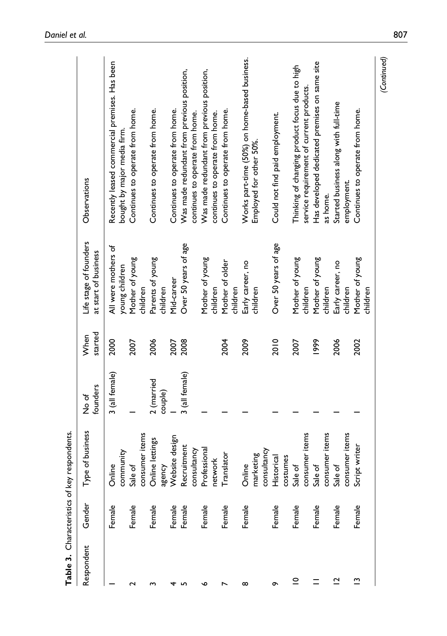|                         |        | Table 3. Characteristics of key respondents. |                       |                 |                                                |                                                                                            |
|-------------------------|--------|----------------------------------------------|-----------------------|-----------------|------------------------------------------------|--------------------------------------------------------------------------------------------|
| Respondent              | Gender | e of business<br>ŢуÞ                         | founders<br>ა<br>აბ   | started<br>When | Life stage of founders<br>at start of business | Observations                                                                               |
|                         | Female | community<br>eni<br>ā                        | 3 (all female)        | 2000            | All were mothers of<br>young children          | Recently leased commercial premises. Has been<br>bought by major media firm.               |
| $\sim$                  | Female | consumer items<br>Sale of                    |                       | 2007            | Mother of young<br>children                    | Continues to operate from home.                                                            |
| m                       | Female | Online lettings<br>agency                    | 2 (married<br>couple) | 2006            | Parents of young<br>children                   | Continues to operate from home.                                                            |
| +                       | Female | Website design                               |                       | 2007            | Mid-career                                     | Continues to operate from home.                                                            |
| LO <sub>1</sub>         | Female | Recruitment<br>consultancy                   | 3 (all female)        | 2008            | Over 50 years of age                           | Was made redundant from previous position,<br>continues to operate from home.              |
| ∾                       | Female | Professional<br>network                      |                       |                 | Mother of young<br>children                    | Was made redundant from previous position,<br>continues to operate from home.              |
| ↖                       | Female | nslator<br>Tran                              |                       | 2004            | Mother of older<br>children                    | Continues to operate from home.                                                            |
| $\infty$                | Female | marketing<br>º⊇<br>ā                         |                       | 2009            | Early career, no<br>children                   | Works part-time (50%) on home-based business.<br>Employed for other 50%.                   |
|                         |        | consultancy                                  |                       |                 |                                                |                                                                                            |
| ᡡ                       | Female | Historical<br>costumes                       |                       | 2010            | Over 50 years of age                           | Could not find paid employment.                                                            |
| ∘                       | Female | consumer items<br>Sale of                    |                       | 2007            | Mother of young<br>children                    | Thinking of changing product focus due to high<br>service requirement of current products. |
| Ξ                       | Female | consumer items<br>٥ŕ<br>Sale                 |                       | 1999            | Mother of young<br>children                    | Has developed dedicated premises on same site<br>as home.                                  |
| $\overline{\mathbf{C}}$ | Female | consumer items<br>৳<br>Sale                  |                       | 2006            | Early career, no<br>children                   | Started business along with full-time<br>employment.                                       |
| $\tilde{ }$             | Female | Script writer                                |                       | 2002            | Mother of young<br>children                    | Continues to operate from home.                                                            |
|                         |        |                                              |                       |                 |                                                | (Continued)                                                                                |

**Daniel et al.** 807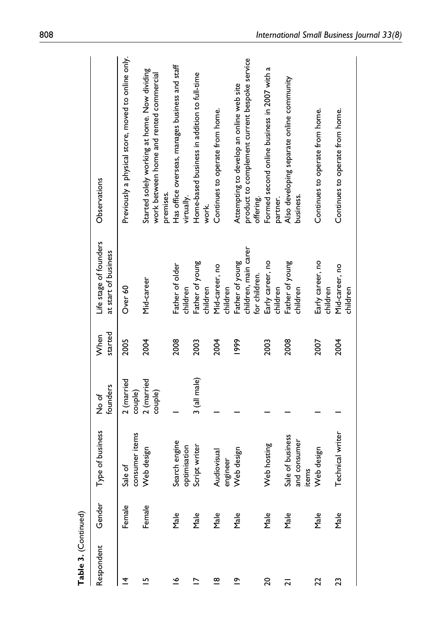| Table 3. (Continued) |         |                                              |                       |                 |                                                          |                                                                                                        |
|----------------------|---------|----------------------------------------------|-----------------------|-----------------|----------------------------------------------------------|--------------------------------------------------------------------------------------------------------|
| Respondent           | Gender  | Type of business                             | founders<br>ঠ<br>২    | started<br>When | Life stage of founders<br>at start of business           | Observations                                                                                           |
| ᅕ                    | Female  | consumer items<br>Sale of                    | 2 (married<br>couple) | 2005            | Over 60                                                  | Previously a physical store, moved to online only.                                                     |
| LO,                  | Female  | Web design                                   | 2 (married<br>couple) | 2004            | Mid-career                                               | Started solely working at home. Now dividing<br>work between home and rented commercial<br>premises.   |
| $\tilde{ }$          | Male    | Search engine<br>optimisation                |                       | 2008            | Father of older<br>children                              | Has office overseas, manages business and staff<br>virtually.                                          |
| ⊵                    | Male    | Script writer                                | 3 (all male)          | 2003            | Father of young<br>children                              | Home-based business in addition to full-time<br>work.                                                  |
| $\infty$             | Male    | Audiovisual<br>engineer                      |                       | 2004            | Mid-career, no<br>children                               | Continues to operate from home.                                                                        |
| $\tilde{=}$          | $M$ ale | design<br>Web                                |                       | 1999            | children, main carer<br>Father of young<br>for children. | product to complement current bespoke service<br>Attempting to develop an online web site<br>offering. |
| $\overline{c}$       | Male    | hosting<br>Web                               |                       | 2003            | Early career, no<br>children                             | Formed second online business in 2007 with a<br>partner.                                               |
| $\overline{a}$       | $M$ ale | of business<br>and consumer<br>items<br>Sale |                       | 2008            | Father of young<br>children                              | Also developing separate online community<br>business.                                                 |
| 22                   | Male    | design<br>Web                                |                       | 2007            | Early career, no<br>children                             | Continues to operate from home.                                                                        |
| 23                   | Male    | Technical writer                             |                       | 2004            | Mid-career, no<br>children                               | Continues to operate from home.                                                                        |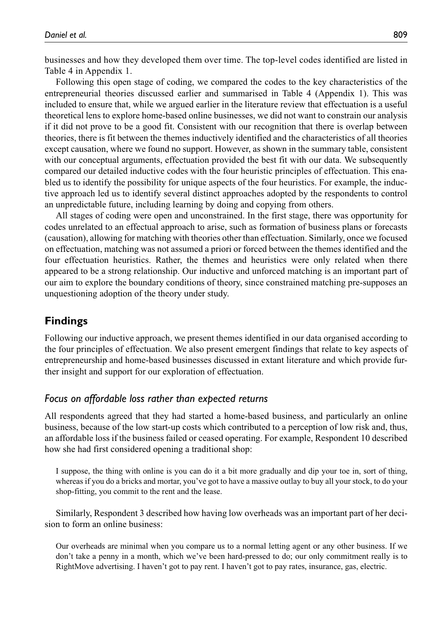businesses and how they developed them over time. The top-level codes identified are listed in Table 4 in Appendix 1.

Following this open stage of coding, we compared the codes to the key characteristics of the entrepreneurial theories discussed earlier and summarised in Table 4 (Appendix 1). This was included to ensure that, while we argued earlier in the literature review that effectuation is a useful theoretical lens to explore home-based online businesses, we did not want to constrain our analysis if it did not prove to be a good fit. Consistent with our recognition that there is overlap between theories, there is fit between the themes inductively identified and the characteristics of all theories except causation, where we found no support. However, as shown in the summary table, consistent with our conceptual arguments, effectuation provided the best fit with our data. We subsequently compared our detailed inductive codes with the four heuristic principles of effectuation. This enabled us to identify the possibility for unique aspects of the four heuristics. For example, the inductive approach led us to identify several distinct approaches adopted by the respondents to control an unpredictable future, including learning by doing and copying from others.

All stages of coding were open and unconstrained. In the first stage, there was opportunity for codes unrelated to an effectual approach to arise, such as formation of business plans or forecasts (causation), allowing for matching with theories other than effectuation. Similarly, once we focused on effectuation, matching was not assumed a priori or forced between the themes identified and the four effectuation heuristics. Rather, the themes and heuristics were only related when there appeared to be a strong relationship. Our inductive and unforced matching is an important part of our aim to explore the boundary conditions of theory, since constrained matching pre-supposes an unquestioning adoption of the theory under study.

### **Findings**

Following our inductive approach, we present themes identified in our data organised according to the four principles of effectuation. We also present emergent findings that relate to key aspects of entrepreneurship and home-based businesses discussed in extant literature and which provide further insight and support for our exploration of effectuation.

### *Focus on affordable loss rather than expected returns*

All respondents agreed that they had started a home-based business, and particularly an online business, because of the low start-up costs which contributed to a perception of low risk and, thus, an affordable loss if the business failed or ceased operating. For example, Respondent 10 described how she had first considered opening a traditional shop:

I suppose, the thing with online is you can do it a bit more gradually and dip your toe in, sort of thing, whereas if you do a bricks and mortar, you've got to have a massive outlay to buy all your stock, to do your shop-fitting, you commit to the rent and the lease.

Similarly, Respondent 3 described how having low overheads was an important part of her decision to form an online business:

Our overheads are minimal when you compare us to a normal letting agent or any other business. If we don't take a penny in a month, which we've been hard-pressed to do; our only commitment really is to RightMove advertising. I haven't got to pay rent. I haven't got to pay rates, insurance, gas, electric.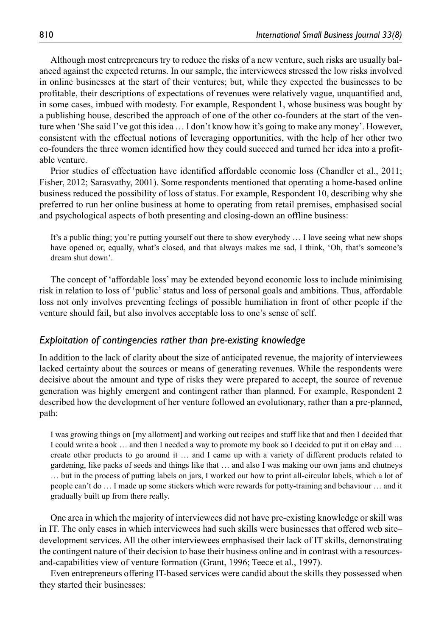Although most entrepreneurs try to reduce the risks of a new venture, such risks are usually balanced against the expected returns. In our sample, the interviewees stressed the low risks involved in online businesses at the start of their ventures; but, while they expected the businesses to be profitable, their descriptions of expectations of revenues were relatively vague, unquantified and, in some cases, imbued with modesty. For example, Respondent 1, whose business was bought by a publishing house, described the approach of one of the other co-founders at the start of the venture when 'She said I've got this idea … I don't know how it's going to make any money'. However, consistent with the effectual notions of leveraging opportunities, with the help of her other two co-founders the three women identified how they could succeed and turned her idea into a profitable venture.

Prior studies of effectuation have identified affordable economic loss (Chandler et al., 2011; Fisher, 2012; Sarasvathy, 2001). Some respondents mentioned that operating a home-based online business reduced the possibility of loss of status. For example, Respondent 10, describing why she preferred to run her online business at home to operating from retail premises, emphasised social and psychological aspects of both presenting and closing-down an offline business:

It's a public thing; you're putting yourself out there to show everybody … I love seeing what new shops have opened or, equally, what's closed, and that always makes me sad, I think, 'Oh, that's someone's dream shut down'.

The concept of 'affordable loss' may be extended beyond economic loss to include minimising risk in relation to loss of 'public' status and loss of personal goals and ambitions. Thus, affordable loss not only involves preventing feelings of possible humiliation in front of other people if the venture should fail, but also involves acceptable loss to one's sense of self.

### *Exploitation of contingencies rather than pre-existing knowledge*

In addition to the lack of clarity about the size of anticipated revenue, the majority of interviewees lacked certainty about the sources or means of generating revenues. While the respondents were decisive about the amount and type of risks they were prepared to accept, the source of revenue generation was highly emergent and contingent rather than planned. For example, Respondent 2 described how the development of her venture followed an evolutionary, rather than a pre-planned, path:

I was growing things on [my allotment] and working out recipes and stuff like that and then I decided that I could write a book … and then I needed a way to promote my book so I decided to put it on eBay and … create other products to go around it … and I came up with a variety of different products related to gardening, like packs of seeds and things like that … and also I was making our own jams and chutneys … but in the process of putting labels on jars, I worked out how to print all-circular labels, which a lot of people can't do … I made up some stickers which were rewards for potty-training and behaviour … and it gradually built up from there really.

One area in which the majority of interviewees did not have pre-existing knowledge or skill was in IT. The only cases in which interviewees had such skills were businesses that offered web site– development services. All the other interviewees emphasised their lack of IT skills, demonstrating the contingent nature of their decision to base their business online and in contrast with a resourcesand-capabilities view of venture formation (Grant, 1996; Teece et al., 1997).

Even entrepreneurs offering IT-based services were candid about the skills they possessed when they started their businesses: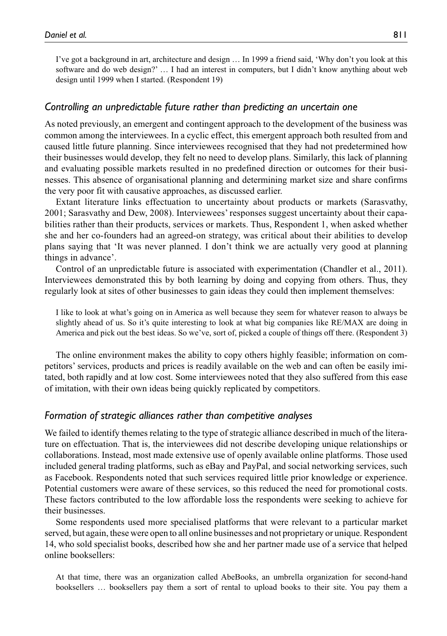I've got a background in art, architecture and design … In 1999 a friend said, 'Why don't you look at this software and do web design?' … I had an interest in computers, but I didn't know anything about web design until 1999 when I started. (Respondent 19)

#### *Controlling an unpredictable future rather than predicting an uncertain one*

As noted previously, an emergent and contingent approach to the development of the business was common among the interviewees. In a cyclic effect, this emergent approach both resulted from and caused little future planning. Since interviewees recognised that they had not predetermined how their businesses would develop, they felt no need to develop plans. Similarly, this lack of planning and evaluating possible markets resulted in no predefined direction or outcomes for their businesses. This absence of organisational planning and determining market size and share confirms the very poor fit with causative approaches, as discussed earlier.

Extant literature links effectuation to uncertainty about products or markets (Sarasvathy, 2001; Sarasvathy and Dew, 2008). Interviewees' responses suggest uncertainty about their capabilities rather than their products, services or markets. Thus, Respondent 1, when asked whether she and her co-founders had an agreed-on strategy, was critical about their abilities to develop plans saying that 'It was never planned. I don't think we are actually very good at planning things in advance'.

Control of an unpredictable future is associated with experimentation (Chandler et al., 2011). Interviewees demonstrated this by both learning by doing and copying from others. Thus, they regularly look at sites of other businesses to gain ideas they could then implement themselves:

I like to look at what's going on in America as well because they seem for whatever reason to always be slightly ahead of us. So it's quite interesting to look at what big companies like RE/MAX are doing in America and pick out the best ideas. So we've, sort of, picked a couple of things off there. (Respondent 3)

The online environment makes the ability to copy others highly feasible; information on competitors' services, products and prices is readily available on the web and can often be easily imitated, both rapidly and at low cost. Some interviewees noted that they also suffered from this ease of imitation, with their own ideas being quickly replicated by competitors.

#### *Formation of strategic alliances rather than competitive analyses*

We failed to identify themes relating to the type of strategic alliance described in much of the literature on effectuation. That is, the interviewees did not describe developing unique relationships or collaborations. Instead, most made extensive use of openly available online platforms. Those used included general trading platforms, such as eBay and PayPal, and social networking services, such as Facebook. Respondents noted that such services required little prior knowledge or experience. Potential customers were aware of these services, so this reduced the need for promotional costs. These factors contributed to the low affordable loss the respondents were seeking to achieve for their businesses.

Some respondents used more specialised platforms that were relevant to a particular market served, but again, these were open to all online businesses and not proprietary or unique. Respondent 14, who sold specialist books, described how she and her partner made use of a service that helped online booksellers:

At that time, there was an organization called AbeBooks, an umbrella organization for second-hand booksellers … booksellers pay them a sort of rental to upload books to their site. You pay them a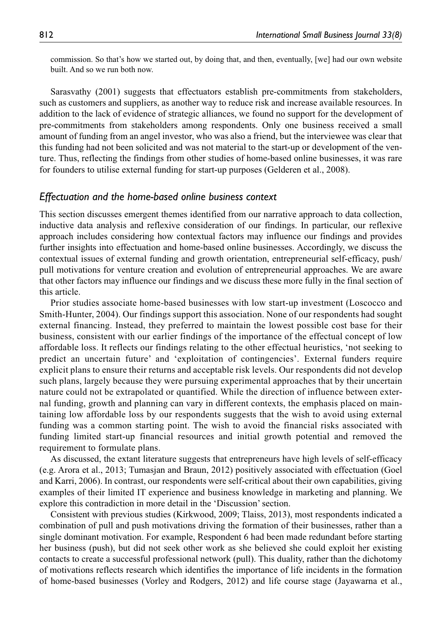commission. So that's how we started out, by doing that, and then, eventually, [we] had our own website built. And so we run both now.

Sarasvathy (2001) suggests that effectuators establish pre-commitments from stakeholders, such as customers and suppliers, as another way to reduce risk and increase available resources. In addition to the lack of evidence of strategic alliances, we found no support for the development of pre-commitments from stakeholders among respondents. Only one business received a small amount of funding from an angel investor, who was also a friend, but the interviewee was clear that this funding had not been solicited and was not material to the start-up or development of the venture. Thus, reflecting the findings from other studies of home-based online businesses, it was rare for founders to utilise external funding for start-up purposes (Gelderen et al., 2008).

#### *Effectuation and the home-based online business context*

This section discusses emergent themes identified from our narrative approach to data collection, inductive data analysis and reflexive consideration of our findings. In particular, our reflexive approach includes considering how contextual factors may influence our findings and provides further insights into effectuation and home-based online businesses. Accordingly, we discuss the contextual issues of external funding and growth orientation, entrepreneurial self-efficacy, push/ pull motivations for venture creation and evolution of entrepreneurial approaches. We are aware that other factors may influence our findings and we discuss these more fully in the final section of this article.

Prior studies associate home-based businesses with low start-up investment (Loscocco and Smith-Hunter, 2004). Our findings support this association. None of our respondents had sought external financing. Instead, they preferred to maintain the lowest possible cost base for their business, consistent with our earlier findings of the importance of the effectual concept of low affordable loss. It reflects our findings relating to the other effectual heuristics, 'not seeking to predict an uncertain future' and 'exploitation of contingencies'. External funders require explicit plans to ensure their returns and acceptable risk levels. Our respondents did not develop such plans, largely because they were pursuing experimental approaches that by their uncertain nature could not be extrapolated or quantified. While the direction of influence between external funding, growth and planning can vary in different contexts, the emphasis placed on maintaining low affordable loss by our respondents suggests that the wish to avoid using external funding was a common starting point. The wish to avoid the financial risks associated with funding limited start-up financial resources and initial growth potential and removed the requirement to formulate plans.

As discussed, the extant literature suggests that entrepreneurs have high levels of self-efficacy (e.g. Arora et al., 2013; Tumasjan and Braun, 2012) positively associated with effectuation (Goel and Karri, 2006). In contrast, our respondents were self-critical about their own capabilities, giving examples of their limited IT experience and business knowledge in marketing and planning. We explore this contradiction in more detail in the 'Discussion' section.

Consistent with previous studies (Kirkwood, 2009; Tlaiss, 2013), most respondents indicated a combination of pull and push motivations driving the formation of their businesses, rather than a single dominant motivation. For example, Respondent 6 had been made redundant before starting her business (push), but did not seek other work as she believed she could exploit her existing contacts to create a successful professional network (pull). This duality, rather than the dichotomy of motivations reflects research which identifies the importance of life incidents in the formation of home-based businesses (Vorley and Rodgers, 2012) and life course stage (Jayawarna et al.,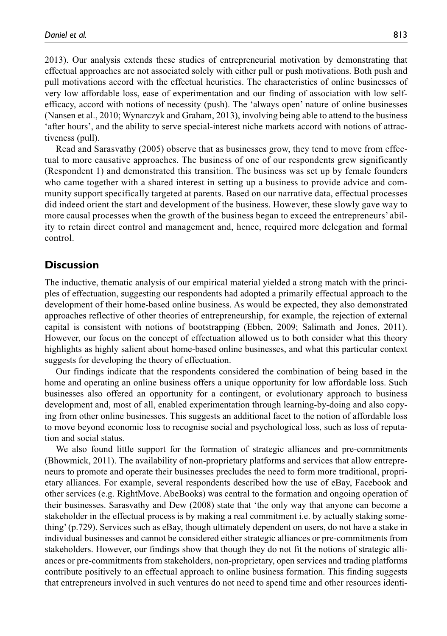2013). Our analysis extends these studies of entrepreneurial motivation by demonstrating that effectual approaches are not associated solely with either pull or push motivations. Both push and pull motivations accord with the effectual heuristics. The characteristics of online businesses of very low affordable loss, ease of experimentation and our finding of association with low selfefficacy, accord with notions of necessity (push). The 'always open' nature of online businesses (Nansen et al., 2010; Wynarczyk and Graham, 2013), involving being able to attend to the business 'after hours', and the ability to serve special-interest niche markets accord with notions of attractiveness (pull).

Read and Sarasvathy (2005) observe that as businesses grow, they tend to move from effectual to more causative approaches. The business of one of our respondents grew significantly (Respondent 1) and demonstrated this transition. The business was set up by female founders who came together with a shared interest in setting up a business to provide advice and community support specifically targeted at parents. Based on our narrative data, effectual processes did indeed orient the start and development of the business. However, these slowly gave way to more causal processes when the growth of the business began to exceed the entrepreneurs' ability to retain direct control and management and, hence, required more delegation and formal control.

### **Discussion**

The inductive, thematic analysis of our empirical material yielded a strong match with the principles of effectuation, suggesting our respondents had adopted a primarily effectual approach to the development of their home-based online business. As would be expected, they also demonstrated approaches reflective of other theories of entrepreneurship, for example, the rejection of external capital is consistent with notions of bootstrapping (Ebben, 2009; Salimath and Jones, 2011). However, our focus on the concept of effectuation allowed us to both consider what this theory highlights as highly salient about home-based online businesses, and what this particular context suggests for developing the theory of effectuation.

Our findings indicate that the respondents considered the combination of being based in the home and operating an online business offers a unique opportunity for low affordable loss. Such businesses also offered an opportunity for a contingent, or evolutionary approach to business development and, most of all, enabled experimentation through learning-by-doing and also copying from other online businesses. This suggests an additional facet to the notion of affordable loss to move beyond economic loss to recognise social and psychological loss, such as loss of reputation and social status.

We also found little support for the formation of strategic alliances and pre-commitments (Bhowmick, 2011). The availability of non-proprietary platforms and services that allow entrepreneurs to promote and operate their businesses precludes the need to form more traditional, proprietary alliances. For example, several respondents described how the use of eBay, Facebook and other services (e.g. RightMove. AbeBooks) was central to the formation and ongoing operation of their businesses. Sarasvathy and Dew (2008) state that 'the only way that anyone can become a stakeholder in the effectual process is by making a real commitment i.e. by actually staking something' (p.729). Services such as eBay, though ultimately dependent on users, do not have a stake in individual businesses and cannot be considered either strategic alliances or pre-commitments from stakeholders. However, our findings show that though they do not fit the notions of strategic alliances or pre-commitments from stakeholders, non-proprietary, open services and trading platforms contribute positively to an effectual approach to online business formation. This finding suggests that entrepreneurs involved in such ventures do not need to spend time and other resources identi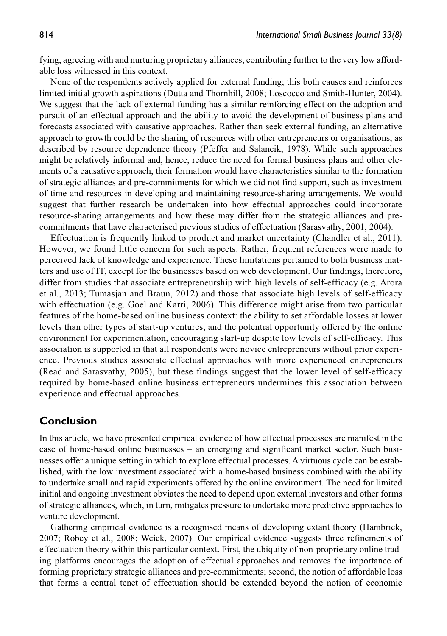fying, agreeing with and nurturing proprietary alliances, contributing further to the very low affordable loss witnessed in this context.

None of the respondents actively applied for external funding; this both causes and reinforces limited initial growth aspirations (Dutta and Thornhill, 2008; Loscocco and Smith-Hunter, 2004). We suggest that the lack of external funding has a similar reinforcing effect on the adoption and pursuit of an effectual approach and the ability to avoid the development of business plans and forecasts associated with causative approaches. Rather than seek external funding, an alternative approach to growth could be the sharing of resources with other entrepreneurs or organisations, as described by resource dependence theory (Pfeffer and Salancik, 1978). While such approaches might be relatively informal and, hence, reduce the need for formal business plans and other elements of a causative approach, their formation would have characteristics similar to the formation of strategic alliances and pre-commitments for which we did not find support, such as investment of time and resources in developing and maintaining resource-sharing arrangements. We would suggest that further research be undertaken into how effectual approaches could incorporate resource-sharing arrangements and how these may differ from the strategic alliances and precommitments that have characterised previous studies of effectuation (Sarasvathy, 2001, 2004).

Effectuation is frequently linked to product and market uncertainty (Chandler et al., 2011). However, we found little concern for such aspects. Rather, frequent references were made to perceived lack of knowledge and experience. These limitations pertained to both business matters and use of IT, except for the businesses based on web development. Our findings, therefore, differ from studies that associate entrepreneurship with high levels of self-efficacy (e.g. Arora et al., 2013; Tumasjan and Braun, 2012) and those that associate high levels of self-efficacy with effectuation (e.g. Goel and Karri, 2006). This difference might arise from two particular features of the home-based online business context: the ability to set affordable losses at lower levels than other types of start-up ventures, and the potential opportunity offered by the online environment for experimentation, encouraging start-up despite low levels of self-efficacy. This association is supported in that all respondents were novice entrepreneurs without prior experience. Previous studies associate effectual approaches with more experienced entrepreneurs (Read and Sarasvathy, 2005), but these findings suggest that the lower level of self-efficacy required by home-based online business entrepreneurs undermines this association between experience and effectual approaches.

### **Conclusion**

In this article, we have presented empirical evidence of how effectual processes are manifest in the case of home-based online businesses – an emerging and significant market sector. Such businesses offer a unique setting in which to explore effectual processes. A virtuous cycle can be established, with the low investment associated with a home-based business combined with the ability to undertake small and rapid experiments offered by the online environment. The need for limited initial and ongoing investment obviates the need to depend upon external investors and other forms of strategic alliances, which, in turn, mitigates pressure to undertake more predictive approaches to venture development.

Gathering empirical evidence is a recognised means of developing extant theory (Hambrick, 2007; Robey et al., 2008; Weick, 2007). Our empirical evidence suggests three refinements of effectuation theory within this particular context. First, the ubiquity of non-proprietary online trading platforms encourages the adoption of effectual approaches and removes the importance of forming proprietary strategic alliances and pre-commitments; second, the notion of affordable loss that forms a central tenet of effectuation should be extended beyond the notion of economic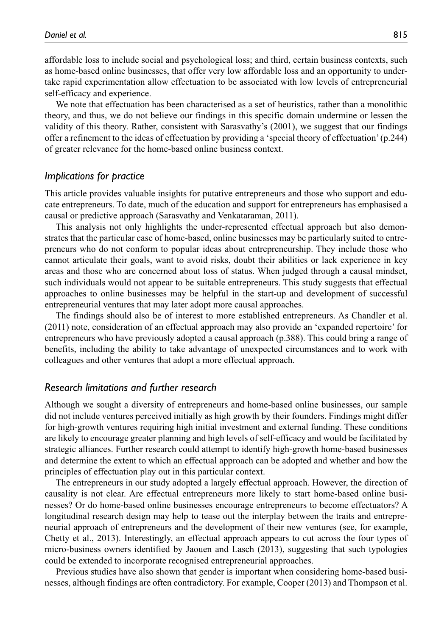affordable loss to include social and psychological loss; and third, certain business contexts, such as home-based online businesses, that offer very low affordable loss and an opportunity to undertake rapid experimentation allow effectuation to be associated with low levels of entrepreneurial self-efficacy and experience.

We note that effectuation has been characterised as a set of heuristics, rather than a monolithic theory, and thus, we do not believe our findings in this specific domain undermine or lessen the validity of this theory. Rather, consistent with Sarasvathy's (2001), we suggest that our findings offer a refinement to the ideas of effectuation by providing a 'special theory of effectuation' (p.244) of greater relevance for the home-based online business context.

### *Implications for practice*

This article provides valuable insights for putative entrepreneurs and those who support and educate entrepreneurs. To date, much of the education and support for entrepreneurs has emphasised a causal or predictive approach (Sarasvathy and Venkataraman, 2011).

This analysis not only highlights the under-represented effectual approach but also demonstrates that the particular case of home-based, online businesses may be particularly suited to entrepreneurs who do not conform to popular ideas about entrepreneurship. They include those who cannot articulate their goals, want to avoid risks, doubt their abilities or lack experience in key areas and those who are concerned about loss of status. When judged through a causal mindset, such individuals would not appear to be suitable entrepreneurs. This study suggests that effectual approaches to online businesses may be helpful in the start-up and development of successful entrepreneurial ventures that may later adopt more causal approaches.

The findings should also be of interest to more established entrepreneurs. As Chandler et al. (2011) note, consideration of an effectual approach may also provide an 'expanded repertoire' for entrepreneurs who have previously adopted a causal approach (p.388). This could bring a range of benefits, including the ability to take advantage of unexpected circumstances and to work with colleagues and other ventures that adopt a more effectual approach.

#### *Research limitations and further research*

Although we sought a diversity of entrepreneurs and home-based online businesses, our sample did not include ventures perceived initially as high growth by their founders. Findings might differ for high-growth ventures requiring high initial investment and external funding. These conditions are likely to encourage greater planning and high levels of self-efficacy and would be facilitated by strategic alliances. Further research could attempt to identify high-growth home-based businesses and determine the extent to which an effectual approach can be adopted and whether and how the principles of effectuation play out in this particular context.

The entrepreneurs in our study adopted a largely effectual approach. However, the direction of causality is not clear. Are effectual entrepreneurs more likely to start home-based online businesses? Or do home-based online businesses encourage entrepreneurs to become effectuators? A longitudinal research design may help to tease out the interplay between the traits and entrepreneurial approach of entrepreneurs and the development of their new ventures (see, for example, Chetty et al., 2013). Interestingly, an effectual approach appears to cut across the four types of micro-business owners identified by Jaouen and Lasch (2013), suggesting that such typologies could be extended to incorporate recognised entrepreneurial approaches.

Previous studies have also shown that gender is important when considering home-based businesses, although findings are often contradictory. For example, Cooper (2013) and Thompson et al.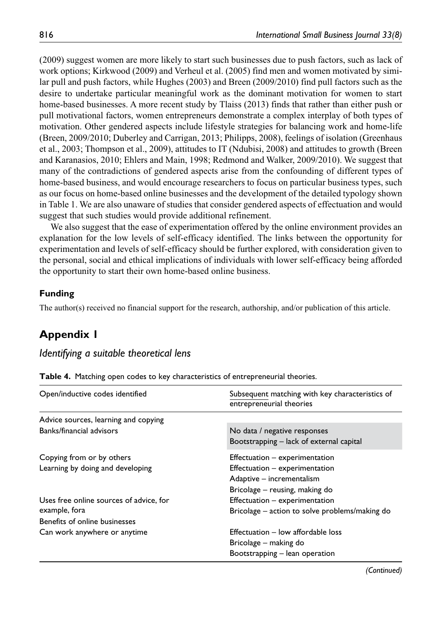(2009) suggest women are more likely to start such businesses due to push factors, such as lack of work options; Kirkwood (2009) and Verheul et al. (2005) find men and women motivated by similar pull and push factors, while Hughes (2003) and Breen (2009/2010) find pull factors such as the desire to undertake particular meaningful work as the dominant motivation for women to start home-based businesses. A more recent study by Tlaiss (2013) finds that rather than either push or pull motivational factors, women entrepreneurs demonstrate a complex interplay of both types of motivation. Other gendered aspects include lifestyle strategies for balancing work and home-life (Breen, 2009/2010; Duberley and Carrigan, 2013; Philipps, 2008), feelings of isolation (Greenhaus et al., 2003; Thompson et al., 2009), attitudes to IT (Ndubisi, 2008) and attitudes to growth (Breen and Karanasios, 2010; Ehlers and Main, 1998; Redmond and Walker, 2009/2010). We suggest that many of the contradictions of gendered aspects arise from the confounding of different types of home-based business, and would encourage researchers to focus on particular business types, such as our focus on home-based online businesses and the development of the detailed typology shown in Table 1. We are also unaware of studies that consider gendered aspects of effectuation and would suggest that such studies would provide additional refinement.

We also suggest that the ease of experimentation offered by the online environment provides an explanation for the low levels of self-efficacy identified. The links between the opportunity for experimentation and levels of self-efficacy should be further explored, with consideration given to the personal, social and ethical implications of individuals with lower self-efficacy being afforded the opportunity to start their own home-based online business.

### **Funding**

The author(s) received no financial support for the research, authorship, and/or publication of this article.

# **Appendix 1**

### *Identifying a suitable theoretical lens*

**Table 4.** Matching open codes to key characteristics of entrepreneurial theories.

| Open/inductive codes identified         | Subsequent matching with key characteristics of<br>entrepreneurial theories |  |
|-----------------------------------------|-----------------------------------------------------------------------------|--|
| Advice sources, learning and copying    |                                                                             |  |
| Banks/financial advisors                | No data / negative responses<br>Bootstrapping - lack of external capital    |  |
| Copying from or by others               | Effectuation - experimentation                                              |  |
| Learning by doing and developing        | Effectuation - experimentation                                              |  |
|                                         | Adaptive - incrementalism                                                   |  |
|                                         | Bricolage - reusing, making do                                              |  |
| Uses free online sources of advice, for | Effectuation - experimentation                                              |  |
| example, fora                           | Bricolage – action to solve problems/making do                              |  |
| Benefits of online businesses           |                                                                             |  |
| Can work anywhere or anytime            | Effectuation – low affordable loss                                          |  |
|                                         | Bricolage – making do                                                       |  |
|                                         | Bootstrapping - lean operation                                              |  |

 *(Continued)*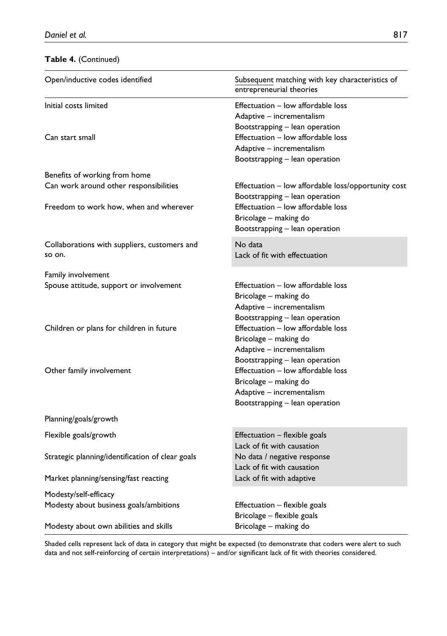**Table 4.** (Continued)

| Open/inductive codes identified                               | Subsequent matching with key characteristics of<br>entrepreneurial theories                                                                                                                            |
|---------------------------------------------------------------|--------------------------------------------------------------------------------------------------------------------------------------------------------------------------------------------------------|
| Initial costs limited<br>Can start small                      | Effectuation - low affordable loss<br>Adaptive - incrementalism<br>Bootstrapping – lean operation<br>Effectuation - low affordable loss<br>Adaptive - incrementalism<br>Bootstrapping – lean operation |
| Benefits of working from home                                 |                                                                                                                                                                                                        |
| Can work around other responsibilities                        | Effectuation - low affordable loss/opportunity cost                                                                                                                                                    |
| Freedom to work how, when and wherever                        | Bootstrapping - lean operation<br>Effectuation - low affordable loss<br>Bricolage – making do<br>Bootstrapping – lean operation                                                                        |
| Collaborations with suppliers, customers and<br>so on.        | No data<br>Lack of fit with effectuation                                                                                                                                                               |
| Family involvement<br>Spouse attitude, support or involvement | Effectuation - low affordable loss<br>Bricolage - making do<br>Adaptive - incrementalism                                                                                                               |
| Children or plans for children in future                      | Bootstrapping - lean operation<br>Effectuation - low affordable loss<br>Bricolage - making do<br>Adaptive - incrementalism<br>Bootstrapping – lean operation                                           |
| Other family involvement                                      | Effectuation - low affordable loss<br>Bricolage - making do<br>Adaptive - incrementalism<br>Bootstrapping – lean operation                                                                             |
| Planning/goals/growth                                         |                                                                                                                                                                                                        |
| Flexible goals/growth                                         | Effectuation $-$ flexible goals<br>Lack of fit with causation                                                                                                                                          |
| Strategic planning/identification of clear goals              | No data / negative response<br>Lack of fit with causation                                                                                                                                              |
| Market planning/sensing/fast reacting                         | Lack of fit with adaptive                                                                                                                                                                              |
| Modesty/self-efficacy                                         |                                                                                                                                                                                                        |
| Modesty about business goals/ambitions                        | Effectuation – flexible goals<br>Bricolage - flexible goals                                                                                                                                            |
| Modesty about own abilities and skills                        | Bricolage - making do                                                                                                                                                                                  |

Shaded cells represent lack of data in category that might be expected (to demonstrate that coders were alert to such data and not self-reinforcing of certain interpretations) – and/or significant lack of fit with theories considered.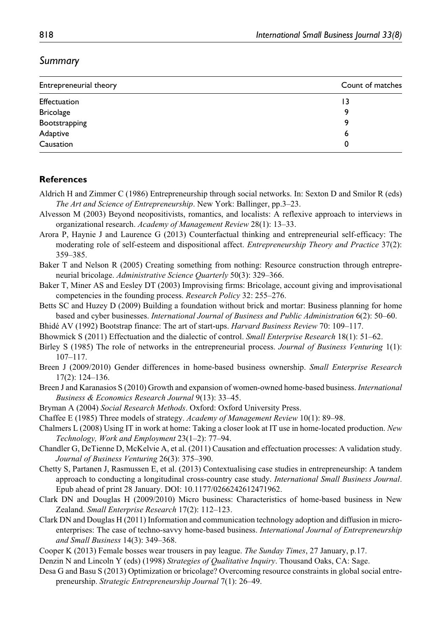### *Summary*

| Entrepreneurial theory | Count of matches |
|------------------------|------------------|
| Effectuation           | 13               |
| <b>Bricolage</b>       | Q                |
| Bootstrapping          |                  |
| Adaptive               | 6                |
| Causation              | 0                |

### **References**

- Aldrich H and Zimmer C (1986) Entrepreneurship through social networks. In: Sexton D and Smilor R (eds) *The Art and Science of Entrepreneurship*. New York: Ballinger, pp.3–23.
- Alvesson M (2003) Beyond neopositivists, romantics, and localists: A reflexive approach to interviews in organizational research. *Academy of Management Review* 28(1): 13–33.
- Arora P, Haynie J and Laurence G (2013) Counterfactual thinking and entrepreneurial self-efficacy: The moderating role of self-esteem and dispositional affect. *Entrepreneurship Theory and Practice* 37(2): 359–385.
- Baker T and Nelson R (2005) Creating something from nothing: Resource construction through entrepreneurial bricolage. *Administrative Science Quarterly* 50(3): 329–366.
- Baker T, Miner AS and Eesley DT (2003) Improvising firms: Bricolage, account giving and improvisational competencies in the founding process. *Research Policy* 32: 255–276.
- Betts SC and Huzey D (2009) Building a foundation without brick and mortar: Business planning for home based and cyber businesses. *International Journal of Business and Public Administration* 6(2): 50–60.
- Bhidé AV (1992) Bootstrap finance: The art of start-ups. *Harvard Business Review* 70: 109–117.
- Bhowmick S (2011) Effectuation and the dialectic of control. *Small Enterprise Research* 18(1): 51–62.
- Birley S (1985) The role of networks in the entrepreneurial process. *Journal of Business Venturing* 1(1): 107–117.
- Breen J (2009/2010) Gender differences in home-based business ownership. *Small Enterprise Research* 17(2): 124–136.
- Breen J and Karanasios S (2010) Growth and expansion of women-owned home-based business. *International Business & Economics Research Journal* 9(13): 33–45.
- Bryman A (2004) *Social Research Methods*. Oxford: Oxford University Press.
- Chaffee E (1985) Three models of strategy. *Academy of Management Review* 10(1): 89–98.
- Chalmers L (2008) Using IT in work at home: Taking a closer look at IT use in home-located production. *New Technology, Work and Employment* 23(1–2): 77–94.
- Chandler G, DeTienne D, McKelvie A, et al. (2011) Causation and effectuation processes: A validation study. *Journal of Business Venturing* 26(3): 375–390.
- Chetty S, Partanen J, Rasmussen E, et al. (2013) Contextualising case studies in entrepreneurship: A tandem approach to conducting a longitudinal cross-country case study. *International Small Business Journal*. Epub ahead of print 28 January. DOI: 10.1177/0266242612471962.
- Clark DN and Douglas H (2009/2010) Micro business: Characteristics of home-based business in New Zealand. *Small Enterprise Research* 17(2): 112–123.
- Clark DN and Douglas H (2011) Information and communication technology adoption and diffusion in microenterprises: The case of techno-savvy home-based business. *International Journal of Entrepreneurship and Small Business* 14(3): 349–368.
- Cooper K (2013) Female bosses wear trousers in pay league. *The Sunday Times*, 27 January, p.17.
- Denzin N and Lincoln Y (eds) (1998) *Strategies of Qualitative Inquiry*. Thousand Oaks, CA: Sage.
- Desa G and Basu S (2013) Optimization or bricolage? Overcoming resource constraints in global social entrepreneurship. *Strategic Entrepreneurship Journal* 7(1): 26–49.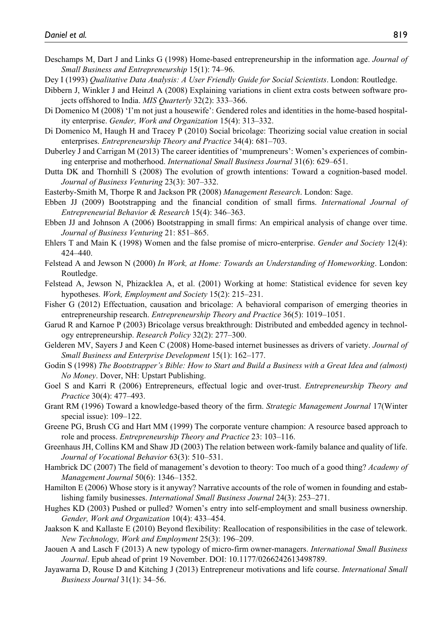- Deschamps M, Dart J and Links G (1998) Home-based entrepreneurship in the information age. *Journal of Small Business and Entrepreneurship* 15(1): 74–96.
- Dey I (1993) *Qualitative Data Analysis: A User Friendly Guide for Social Scientists*. London: Routledge.
- Dibbern J, Winkler J and Heinzl A (2008) Explaining variations in client extra costs between software projects offshored to India. *MIS Quarterly* 32(2): 333–366.
- Di Domenico M (2008) 'I'm not just a housewife': Gendered roles and identities in the home-based hospitality enterprise. *Gender, Work and Organization* 15(4): 313–332.
- Di Domenico M, Haugh H and Tracey P (2010) Social bricolage: Theorizing social value creation in social enterprises. *Entrepreneurship Theory and Practice* 34(4): 681–703.
- Duberley J and Carrigan M (2013) The career identities of 'mumpreneurs': Women's experiences of combining enterprise and motherhood. *International Small Business Journal* 31(6): 629–651.
- Dutta DK and Thornhill S (2008) The evolution of growth intentions: Toward a cognition-based model. *Journal of Business Venturing* 23(3): 307–332.
- Easterby-Smith M, Thorpe R and Jackson PR (2008) *Management Research*. London: Sage.
- Ebben JJ (2009) Bootstrapping and the financial condition of small firms. *International Journal of Entrepreneurial Behavior & Research* 15(4): 346–363.
- Ebben JJ and Johnson A (2006) Bootstrapping in small firms: An empirical analysis of change over time. *Journal of Business Venturing* 21: 851–865.
- Ehlers T and Main K (1998) Women and the false promise of micro-enterprise. *Gender and Society* 12(4): 424–440.
- Felstead A and Jewson N (2000) *In Work, at Home: Towards an Understanding of Homeworking*. London: Routledge.
- Felstead A, Jewson N, Phizacklea A, et al. (2001) Working at home: Statistical evidence for seven key hypotheses. *Work, Employment and Society* 15(2): 215–231.
- Fisher G (2012) Effectuation, causation and bricolage: A behavioral comparison of emerging theories in entrepreneurship research. *Entrepreneurship Theory and Practice* 36(5): 1019–1051.
- Garud R and Karnoe P (2003) Bricolage versus breakthrough: Distributed and embedded agency in technology entrepreneurship. *Research Policy* 32(2): 277–300.
- Gelderen MV, Sayers J and Keen C (2008) Home-based internet businesses as drivers of variety. *Journal of Small Business and Enterprise Development* 15(1): 162–177.
- Godin S (1998) *The Bootstrapper's Bible: How to Start and Build a Business with a Great Idea and (almost) No Money*. Dover, NH: Upstart Publishing.
- Goel S and Karri R (2006) Entrepreneurs, effectual logic and over-trust. *Entrepreneurship Theory and Practice* 30(4): 477–493.
- Grant RM (1996) Toward a knowledge-based theory of the firm. *Strategic Management Journal* 17(Winter special issue):  $109-122$ .
- Greene PG, Brush CG and Hart MM (1999) The corporate venture champion: A resource based approach to role and process. *Entrepreneurship Theory and Practice* 23: 103–116.
- Greenhaus JH, Collins KM and Shaw JD (2003) The relation between work-family balance and quality of life. *Journal of Vocational Behavior* 63(3): 510–531.
- Hambrick DC (2007) The field of management's devotion to theory: Too much of a good thing? *Academy of Management Journal* 50(6): 1346–1352.
- Hamilton E (2006) Whose story is it anyway? Narrative accounts of the role of women in founding and establishing family businesses. *International Small Business Journal* 24(3): 253–271.
- Hughes KD (2003) Pushed or pulled? Women's entry into self-employment and small business ownership. *Gender, Work and Organization* 10(4): 433–454.
- Jaakson K and Kallaste E (2010) Beyond flexibility: Reallocation of responsibilities in the case of telework. *New Technology, Work and Employment* 25(3): 196–209.
- Jaouen A and Lasch F (2013) A new typology of micro-firm owner-managers. *International Small Business Journal*. Epub ahead of print 19 November. DOI: 10.1177/0266242613498789.
- Jayawarna D, Rouse D and Kitching J (2013) Entrepreneur motivations and life course. *International Small Business Journal* 31(1): 34–56.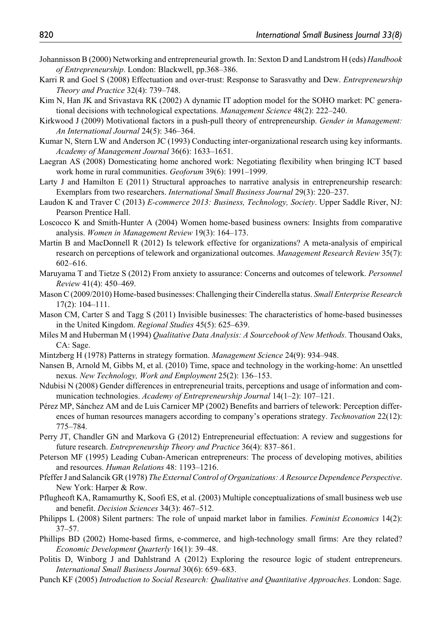- Johannisson B (2000) Networking and entrepreneurial growth. In: Sexton D and Landstrom H (eds) *Handbook of Entrepreneurship*. London: Blackwell, pp.368–386.
- Karri R and Goel S (2008) Effectuation and over-trust: Response to Sarasvathy and Dew. *Entrepreneurship Theory and Practice* 32(4): 739–748.
- Kim N, Han JK and Srivastava RK (2002) A dynamic IT adoption model for the SOHO market: PC generational decisions with technological expectations. *Management Science* 48(2): 222–240.
- Kirkwood J (2009) Motivational factors in a push-pull theory of entrepreneurship. *Gender in Management: An International Journal* 24(5): 346–364.
- Kumar N, Stern LW and Anderson JC (1993) Conducting inter-organizational research using key informants. *Academy of Management Journal* 36(6): 1633–1651.
- Laegran AS (2008) Domesticating home anchored work: Negotiating flexibility when bringing ICT based work home in rural communities. *Geoforum* 39(6): 1991–1999.
- Larty J and Hamilton E (2011) Structural approaches to narrative analysis in entrepreneurship research: Exemplars from two researchers. *International Small Business Journal* 29(3): 220–237.
- Laudon K and Traver C (2013) *E-commerce 2013: Business, Technology, Society*. Upper Saddle River, NJ: Pearson Prentice Hall.
- Loscocco K and Smith-Hunter A (2004) Women home-based business owners: Insights from comparative analysis. *Women in Management Review* 19(3): 164–173.
- Martin B and MacDonnell R (2012) Is telework effective for organizations? A meta-analysis of empirical research on perceptions of telework and organizational outcomes. *Management Research Review* 35(7): 602–616.
- Maruyama T and Tietze S (2012) From anxiety to assurance: Concerns and outcomes of telework. *Personnel Review* 41(4): 450–469.
- Mason C (2009/2010) Home-based businesses: Challenging their Cinderella status. *Small Enterprise Research* 17(2): 104–111.
- Mason CM, Carter S and Tagg S (2011) Invisible businesses: The characteristics of home-based businesses in the United Kingdom. *Regional Studies* 45(5): 625–639.
- Miles M and Huberman M (1994) *Qualitative Data Analysis: A Sourcebook of New Methods*. Thousand Oaks, CA: Sage.
- Mintzberg H (1978) Patterns in strategy formation. *Management Science* 24(9): 934–948.
- Nansen B, Arnold M, Gibbs M, et al. (2010) Time, space and technology in the working-home: An unsettled nexus. *New Technology, Work and Employment* 25(2): 136–153.
- Ndubisi N (2008) Gender differences in entrepreneurial traits, perceptions and usage of information and communication technologies. *Academy of Entrepreneurship Journal* 14(1–2): 107–121.
- Pérez MP, Sánchez AM and de Luis Carnicer MP (2002) Benefits and barriers of telework: Perception differences of human resources managers according to company's operations strategy. *Technovation* 22(12): 775–784.
- Perry JT, Chandler GN and Markova G (2012) Entrepreneurial effectuation: A review and suggestions for future research. *Entrepreneurship Theory and Practice* 36(4): 837–861.
- Peterson MF (1995) Leading Cuban-American entrepreneurs: The process of developing motives, abilities and resources. *Human Relations* 48: 1193–1216.
- Pfeffer J and Salancik GR (1978) *The External Control of Organizations: A Resource Dependence Perspective*. New York: Harper & Row.
- Pflugheoft KA, Ramamurthy K, Soofi ES, et al. (2003) Multiple conceptualizations of small business web use and benefit. *Decision Sciences* 34(3): 467–512.
- Philipps L (2008) Silent partners: The role of unpaid market labor in families. *Feminist Economics* 14(2): 37–57.
- Phillips BD (2002) Home-based firms, e-commerce, and high-technology small firms: Are they related? *Economic Development Quarterly* 16(1): 39–48.
- Politis D, Winborg J and Dahlstrand A (2012) Exploring the resource logic of student entrepreneurs. *International Small Business Journal* 30(6): 659–683.
- Punch KF (2005) *Introduction to Social Research: Qualitative and Quantitative Approaches*. London: Sage.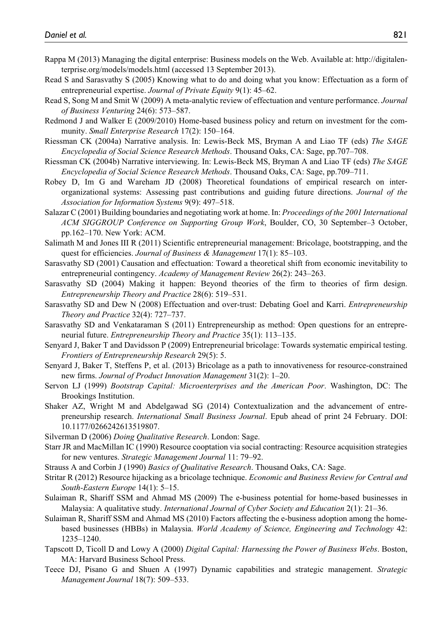- Rappa M (2013) Managing the digital enterprise: Business models on the Web. Available at: [http://digitalen](http://digitalenterprise.org/models/models.html)[terprise.org/models/models.html](http://digitalenterprise.org/models/models.html) (accessed 13 September 2013).
- Read S and Sarasvathy S (2005) Knowing what to do and doing what you know: Effectuation as a form of entrepreneurial expertise. *Journal of Private Equity* 9(1): 45–62.
- Read S, Song M and Smit W (2009) A meta-analytic review of effectuation and venture performance. *Journal of Business Venturing* 24(6): 573–587.
- Redmond J and Walker E (2009/2010) Home-based business policy and return on investment for the community. *Small Enterprise Research* 17(2): 150–164.
- Riessman CK (2004a) Narrative analysis. In: Lewis-Beck MS, Bryman A and Liao TF (eds) *The SAGE Encyclopedia of Social Science Research Methods*. Thousand Oaks, CA: Sage, pp.707–708.
- Riessman CK (2004b) Narrative interviewing. In: Lewis-Beck MS, Bryman A and Liao TF (eds) *The SAGE Encyclopedia of Social Science Research Methods*. Thousand Oaks, CA: Sage, pp.709–711.
- Robey D, Im G and Wareham JD (2008) Theoretical foundations of empirical research on interorganizational systems: Assessing past contributions and guiding future directions. *Journal of the Association for Information Systems* 9(9): 497–518.
- Salazar C (2001) Building boundaries and negotiating work at home. In: *Proceedings of the 2001 International ACM SIGGROUP Conference on Supporting Group Work*, Boulder, CO, 30 September–3 October, pp.162–170. New York: ACM.
- Salimath M and Jones III R (2011) Scientific entrepreneurial management: Bricolage, bootstrapping, and the quest for efficiencies. *Journal of Business & Management* 17(1): 85–103.
- Sarasvathy SD (2001) Causation and effectuation: Toward a theoretical shift from economic inevitability to entrepreneurial contingency. *Academy of Management Review* 26(2): 243–263.
- Sarasvathy SD (2004) Making it happen: Beyond theories of the firm to theories of firm design. *Entrepreneurship Theory and Practice* 28(6): 519–531.
- Sarasvathy SD and Dew N (2008) Effectuation and over-trust: Debating Goel and Karri. *Entrepreneurship Theory and Practice* 32(4): 727–737.
- Sarasvathy SD and Venkataraman S (2011) Entrepreneurship as method: Open questions for an entrepreneurial future. *Entrepreneurship Theory and Practice* 35(1): 113–135.
- Senyard J, Baker T and Davidsson P (2009) Entrepreneurial bricolage: Towards systematic empirical testing. *Frontiers of Entrepreneurship Research* 29(5): 5.
- Senyard J, Baker T, Steffens P, et al. (2013) Bricolage as a path to innovativeness for resource-constrained new firms. *Journal of Product Innovation Management* 31(2): 1–20.
- Servon LJ (1999) *Bootstrap Capital: Microenterprises and the American Poor*. Washington, DC: The Brookings Institution.
- Shaker AZ, Wright M and Abdelgawad SG (2014) Contextualization and the advancement of entrepreneurship research. *International Small Business Journal*. Epub ahead of print 24 February. DOI: 10.1177/0266242613519807.
- Silverman D (2006) *Doing Qualitative Research*. London: Sage.
- Starr JR and MacMillan IC (1990) Resource cooptation via social contracting: Resource acquisition strategies for new ventures. *Strategic Management Journal* 11: 79–92.
- Strauss A and Corbin J (1990) *Basics of Qualitative Research*. Thousand Oaks, CA: Sage.
- Stritar R (2012) Resource hijacking as a bricolage technique. *Economic and Business Review for Central and South-Eastern Europe* 14(1): 5–15.
- Sulaiman R, Shariff SSM and Ahmad MS (2009) The e-business potential for home-based businesses in Malaysia: A qualitative study. *International Journal of Cyber Society and Education* 2(1): 21–36.
- Sulaiman R, Shariff SSM and Ahmad MS (2010) Factors affecting the e-business adoption among the homebased businesses (HBBs) in Malaysia. *World Academy of Science, Engineering and Technology* 42: 1235–1240.
- Tapscott D, Ticoll D and Lowy A (2000) *Digital Capital: Harnessing the Power of Business Webs*. Boston, MA: Harvard Business School Press.
- Teece DJ, Pisano G and Shuen A (1997) Dynamic capabilities and strategic management. *Strategic Management Journal* 18(7): 509–533.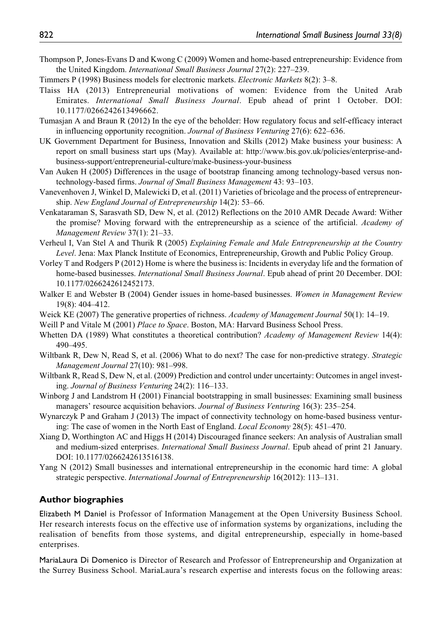- Thompson P, Jones-Evans D and Kwong C (2009) Women and home-based entrepreneurship: Evidence from the United Kingdom. *International Small Business Journal* 27(2): 227–239.
- Timmers P (1998) Business models for electronic markets. *Electronic Markets* 8(2): 3–8.
- Tlaiss HA (2013) Entrepreneurial motivations of women: Evidence from the United Arab Emirates. *International Small Business Journal*. Epub ahead of print 1 October. DOI: 10.1177/0266242613496662.
- Tumasjan A and Braun R (2012) In the eye of the beholder: How regulatory focus and self-efficacy interact in influencing opportunity recognition. *Journal of Business Venturing* 27(6): 622–636.
- UK Government Department for Business, Innovation and Skills (2012) Make business your business: A report on small business start ups (May). Available at: [http://www.bis.gov.uk/policies/enterprise-and](http://www.bis.gov.uk/policies/enterprise-and-business-support/entrepreneurial-culture/make-business-your-business)[business-support/entrepreneurial-culture/make-business-your-business](http://www.bis.gov.uk/policies/enterprise-and-business-support/entrepreneurial-culture/make-business-your-business)
- Van Auken H (2005) Differences in the usage of bootstrap financing among technology-based versus nontechnology-based firms. *Journal of Small Business Management* 43: 93–103.
- Vanevenhoven J, Winkel D, Malewicki D, et al. (2011) Varieties of bricolage and the process of entrepreneurship. *New England Journal of Entrepreneurship* 14(2): 53–66.
- Venkataraman S, Sarasvath SD, Dew N, et al. (2012) Reflections on the 2010 AMR Decade Award: Wither the promise? Moving forward with the entrepreneurship as a science of the artificial. *Academy of Management Review* 37(1): 21–33.
- Verheul I, Van Stel A and Thurik R (2005) *Explaining Female and Male Entrepreneurship at the Country Level*. Jena: Max Planck Institute of Economics, Entrepreneurship, Growth and Public Policy Group.
- Vorley T and Rodgers P (2012) Home is where the business is: Incidents in everyday life and the formation of home-based businesses. *International Small Business Journal*. Epub ahead of print 20 December. DOI: 10.1177/0266242612452173.
- Walker E and Webster B (2004) Gender issues in home-based businesses. *Women in Management Review* 19(8): 404–412.
- Weick KE (2007) The generative properties of richness. *Academy of Management Journal* 50(1): 14–19.

Weill P and Vitale M (2001) *Place to Space*. Boston, MA: Harvard Business School Press.

- Whetten DA (1989) What constitutes a theoretical contribution? *Academy of Management Review* 14(4): 490–495.
- Wiltbank R, Dew N, Read S, et al. (2006) What to do next? The case for non-predictive strategy. *Strategic Management Journal* 27(10): 981–998.
- Wiltbank R, Read S, Dew N, et al. (2009) Prediction and control under uncertainty: Outcomes in angel investing. *Journal of Business Venturing* 24(2): 116–133.
- Winborg J and Landstrom H (2001) Financial bootstrapping in small businesses: Examining small business managers' resource acquisition behaviors. *Journal of Business Venturing* 16(3): 235–254.
- Wynarczyk P and Graham J (2013) The impact of connectivity technology on home-based business venturing: The case of women in the North East of England. *Local Economy* 28(5): 451–470.
- Xiang D, Worthington AC and Higgs H (2014) Discouraged finance seekers: An analysis of Australian small and medium-sized enterprises. *International Small Business Journal*. Epub ahead of print 21 January. DOI: 10.1177/0266242613516138.
- Yang N (2012) Small businesses and international entrepreneurship in the economic hard time: A global strategic perspective. *International Journal of Entrepreneurship* 16(2012): 113–131.

#### **Author biographies**

Elizabeth M Daniel is Professor of Information Management at the Open University Business School. Her research interests focus on the effective use of information systems by organizations, including the realisation of benefits from those systems, and digital entrepreneurship, especially in home-based enterprises.

MariaLaura Di Domenico is Director of Research and Professor of Entrepreneurship and Organization at the Surrey Business School. MariaLaura's research expertise and interests focus on the following areas: